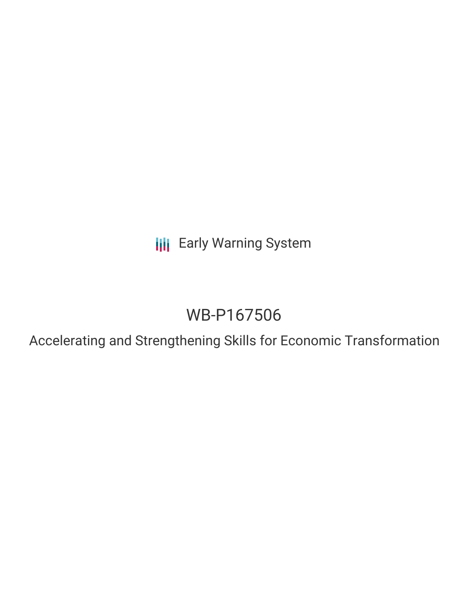**III** Early Warning System

# WB-P167506

Accelerating and Strengthening Skills for Economic Transformation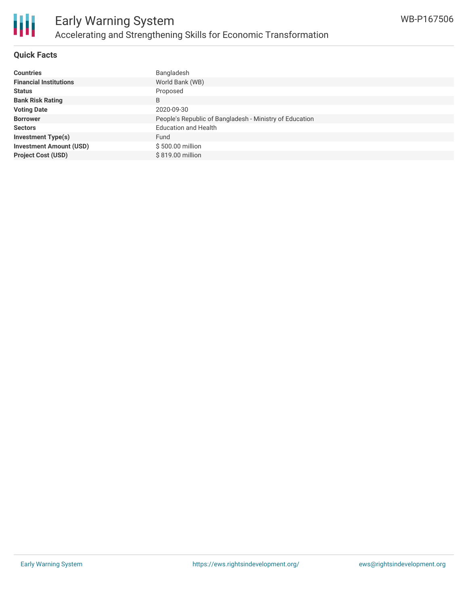

## **Quick Facts**

| <b>Countries</b>               | Bangladesh                                              |
|--------------------------------|---------------------------------------------------------|
| <b>Financial Institutions</b>  | World Bank (WB)                                         |
| <b>Status</b>                  | Proposed                                                |
| <b>Bank Risk Rating</b>        | B                                                       |
| <b>Voting Date</b>             | 2020-09-30                                              |
| <b>Borrower</b>                | People's Republic of Bangladesh - Ministry of Education |
| <b>Sectors</b>                 | <b>Education and Health</b>                             |
| <b>Investment Type(s)</b>      | Fund                                                    |
| <b>Investment Amount (USD)</b> | \$500.00 million                                        |
| <b>Project Cost (USD)</b>      | \$819.00 million                                        |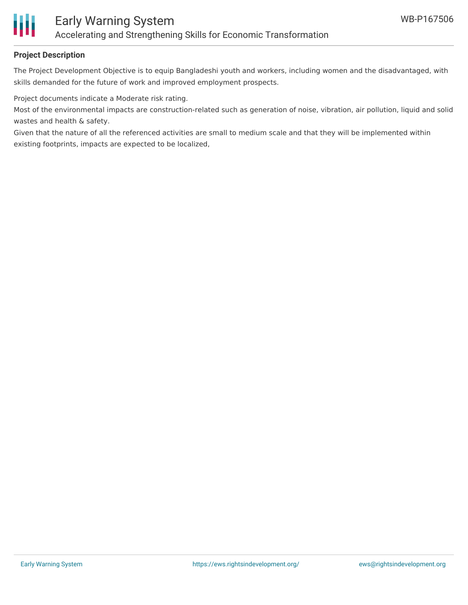

## **Project Description**

The Project Development Objective is to equip Bangladeshi youth and workers, including women and the disadvantaged, with skills demanded for the future of work and improved employment prospects.

Project documents indicate a Moderate risk rating.

Most of the environmental impacts are construction-related such as generation of noise, vibration, air pollution, liquid and solid wastes and health & safety.

Given that the nature of all the referenced activities are small to medium scale and that they will be implemented within existing footprints, impacts are expected to be localized,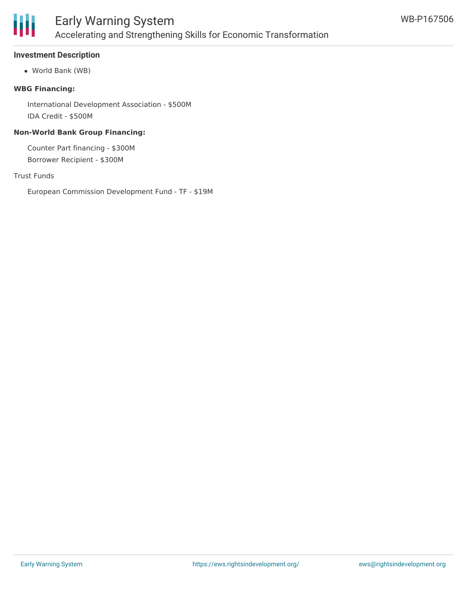

## **Investment Description**

World Bank (WB)

#### **WBG Financing:**

International Development Association - \$500M IDA Credit - \$500M

#### **Non-World Bank Group Financing:**

Counter Part financing - \$300M Borrower Recipient - \$300M

#### Trust Funds

European Commission Development Fund - TF - \$19M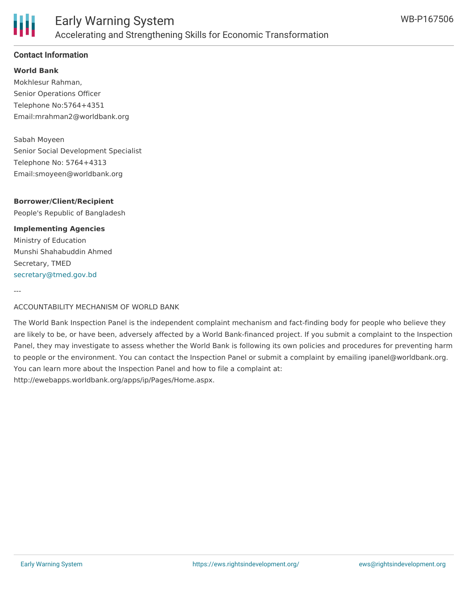

## **Contact Information**

**World Bank** Mokhlesur Rahman, Senior Operations Officer Telephone No:5764+4351 Email:mrahman2@worldbank.org

Sabah Moyeen Senior Social Development Specialist Telephone No: 5764+4313 Email:smoyeen@worldbank.org

## **Borrower/Client/Recipient**

People's Republic of Bangladesh

#### **Implementing Agencies**

Ministry of Education Munshi Shahabuddin Ahmed Secretary, TMED [secretary@tmed.gov.bd](mailto:secretary@tmed.gov.bd)

---

ACCOUNTABILITY MECHANISM OF WORLD BANK

The World Bank Inspection Panel is the independent complaint mechanism and fact-finding body for people who believe they are likely to be, or have been, adversely affected by a World Bank-financed project. If you submit a complaint to the Inspection Panel, they may investigate to assess whether the World Bank is following its own policies and procedures for preventing harm to people or the environment. You can contact the Inspection Panel or submit a complaint by emailing ipanel@worldbank.org. You can learn more about the Inspection Panel and how to file a complaint at: http://ewebapps.worldbank.org/apps/ip/Pages/Home.aspx.